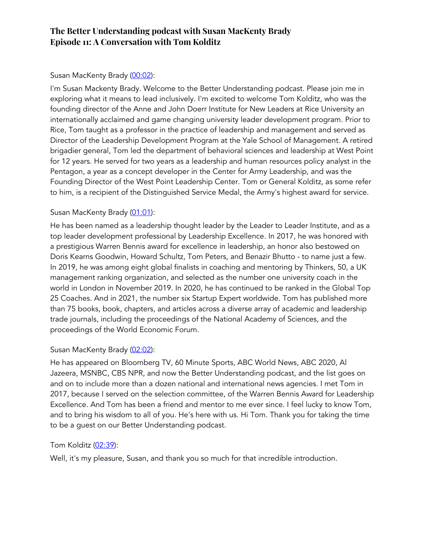# Susan MacKenty Brady (00:02):

I'm Susan Mackenty Brady. Welcome to the Better Understanding podcast. Please join me in exploring what it means to lead inclusively. I'm excited to welcome Tom Kolditz, who was the founding director of the Anne and John Doerr Institute for New Leaders at Rice University an internationally acclaimed and game changing university leader development program. Prior to Rice, Tom taught as a professor in the practice of leadership and management and served as Director of the Leadership Development Program at the Yale School of Management. A retired brigadier general, Tom led the department of behavioral sciences and leadership at West Point for 12 years. He served for two years as a leadership and human resources policy analyst in the Pentagon, a year as a concept developer in the Center for Army Leadership, and was the Founding Director of the West Point Leadership Center. Tom or General Kolditz, as some refer to him, is a recipient of the Distinguished Service Medal, the Army's highest award for service.

# Susan MacKenty Brady (01:01):

He has been named as a leadership thought leader by the Leader to Leader Institute, and as a top leader development professional by Leadership Excellence. In 2017, he was honored with a prestigious Warren Bennis award for excellence in leadership, an honor also bestowed on Doris Kearns Goodwin, Howard Schultz, Tom Peters, and Benazir Bhutto - to name just a few. In 2019, he was among eight global finalists in coaching and mentoring by Thinkers, 50, a UK management ranking organization, and selected as the number one university coach in the world in London in November 2019. In 2020, he has continued to be ranked in the Global Top 25 Coaches. And in 2021, the number six Startup Expert worldwide. Tom has published more than 75 books, book, chapters, and articles across a diverse array of academic and leadership trade journals, including the proceedings of the National Academy of Sciences, and the proceedings of the World Economic Forum.

# Susan MacKenty Brady (02:02):

He has appeared on Bloomberg TV, 60 Minute Sports, ABC World News, ABC 2020, Al Jazeera, MSNBC, CBS NPR, and now the Better Understanding podcast, and the list goes on and on to include more than a dozen national and international news agencies. I met Tom in 2017, because I served on the selection committee, of the Warren Bennis Award for Leadership Excellence. And Tom has been a friend and mentor to me ever since. I feel lucky to know Tom, and to bring his wisdom to all of you. He's here with us. Hi Tom. Thank you for taking the time to be a guest on our Better Understanding podcast.

# Tom Kolditz (02:39):

Well, it's my pleasure, Susan, and thank you so much for that incredible introduction.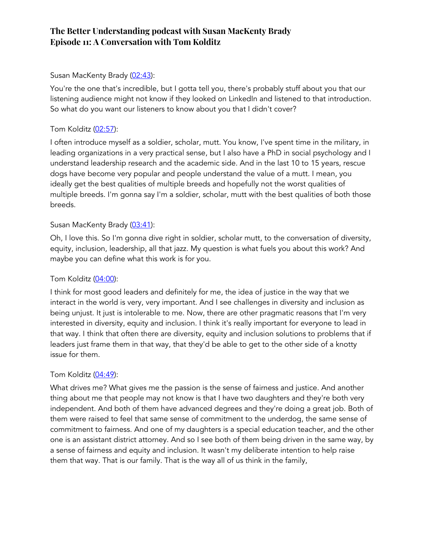### Susan MacKenty Brady (02:43):

You're the one that's incredible, but I gotta tell you, there's probably stuff about you that our listening audience might not know if they looked on LinkedIn and listened to that introduction. So what do you want our listeners to know about you that I didn't cover?

### Tom Kolditz (02:57):

I often introduce myself as a soldier, scholar, mutt. You know, I've spent time in the military, in leading organizations in a very practical sense, but I also have a PhD in social psychology and I understand leadership research and the academic side. And in the last 10 to 15 years, rescue dogs have become very popular and people understand the value of a mutt. I mean, you ideally get the best qualities of multiple breeds and hopefully not the worst qualities of multiple breeds. I'm gonna say I'm a soldier, scholar, mutt with the best qualities of both those breeds.

### Susan MacKenty Brady (03:41):

Oh, I love this. So I'm gonna dive right in soldier, scholar mutt, to the conversation of diversity, equity, inclusion, leadership, all that jazz. My question is what fuels you about this work? And maybe you can define what this work is for you.

### Tom Kolditz (04:00):

I think for most good leaders and definitely for me, the idea of justice in the way that we interact in the world is very, very important. And I see challenges in diversity and inclusion as being unjust. It just is intolerable to me. Now, there are other pragmatic reasons that I'm very interested in diversity, equity and inclusion. I think it's really important for everyone to lead in that way. I think that often there are diversity, equity and inclusion solutions to problems that if leaders just frame them in that way, that they'd be able to get to the other side of a knotty issue for them.

### Tom Kolditz  $(04:49)$ :

What drives me? What gives me the passion is the sense of fairness and justice. And another thing about me that people may not know is that I have two daughters and they're both very independent. And both of them have advanced degrees and they're doing a great job. Both of them were raised to feel that same sense of commitment to the underdog, the same sense of commitment to fairness. And one of my daughters is a special education teacher, and the other one is an assistant district attorney. And so I see both of them being driven in the same way, by a sense of fairness and equity and inclusion. It wasn't my deliberate intention to help raise them that way. That is our family. That is the way all of us think in the family,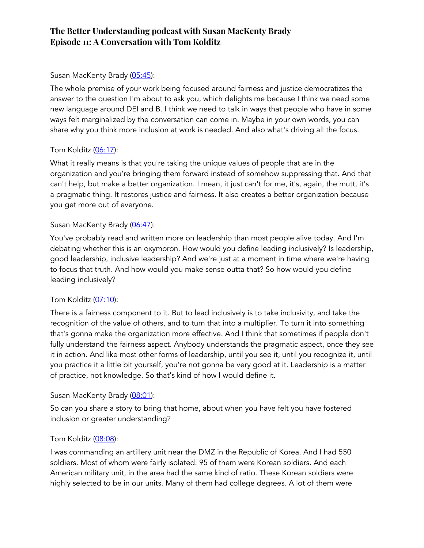### Susan MacKenty Brady (05:45):

The whole premise of your work being focused around fairness and justice democratizes the answer to the question I'm about to ask you, which delights me because I think we need some new language around DEI and B. I think we need to talk in ways that people who have in some ways felt marginalized by the conversation can come in. Maybe in your own words, you can share why you think more inclusion at work is needed. And also what's driving all the focus.

### Tom Kolditz (06:17):

What it really means is that you're taking the unique values of people that are in the organization and you're bringing them forward instead of somehow suppressing that. And that can't help, but make a better organization. I mean, it just can't for me, it's, again, the mutt, it's a pragmatic thing. It restores justice and fairness. It also creates a better organization because you get more out of everyone.

### Susan MacKenty Brady (06:47):

You've probably read and written more on leadership than most people alive today. And I'm debating whether this is an oxymoron. How would you define leading inclusively? Is leadership, good leadership, inclusive leadership? And we're just at a moment in time where we're having to focus that truth. And how would you make sense outta that? So how would you define leading inclusively?

### Tom Kolditz (07:10):

There is a fairness component to it. But to lead inclusively is to take inclusivity, and take the recognition of the value of others, and to turn that into a multiplier. To turn it into something that's gonna make the organization more effective. And I think that sometimes if people don't fully understand the fairness aspect. Anybody understands the pragmatic aspect, once they see it in action. And like most other forms of leadership, until you see it, until you recognize it, until you practice it a little bit yourself, you're not gonna be very good at it. Leadership is a matter of practice, not knowledge. So that's kind of how I would define it.

### Susan MacKenty Brady (08:01):

So can you share a story to bring that home, about when you have felt you have fostered inclusion or greater understanding?

### Tom Kolditz (08:08):

I was commanding an artillery unit near the DMZ in the Republic of Korea. And I had 550 soldiers. Most of whom were fairly isolated. 95 of them were Korean soldiers. And each American military unit, in the area had the same kind of ratio. These Korean soldiers were highly selected to be in our units. Many of them had college degrees. A lot of them were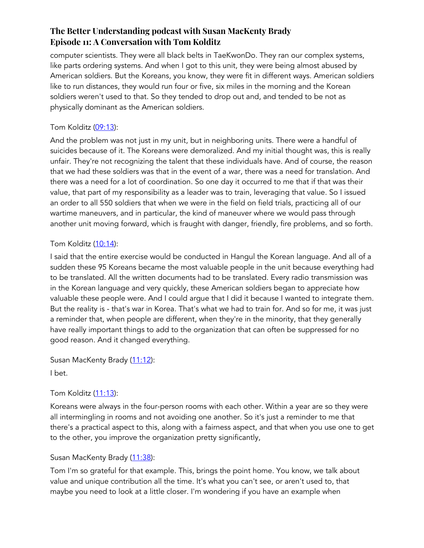computer scientists. They were all black belts in TaeKwonDo. They ran our complex systems, like parts ordering systems. And when I got to this unit, they were being almost abused by American soldiers. But the Koreans, you know, they were fit in different ways. American soldiers like to run distances, they would run four or five, six miles in the morning and the Korean soldiers weren't used to that. So they tended to drop out and, and tended to be not as physically dominant as the American soldiers.

# Tom Kolditz (09:13):

And the problem was not just in my unit, but in neighboring units. There were a handful of suicides because of it. The Koreans were demoralized. And my initial thought was, this is really unfair. They're not recognizing the talent that these individuals have. And of course, the reason that we had these soldiers was that in the event of a war, there was a need for translation. And there was a need for a lot of coordination. So one day it occurred to me that if that was their value, that part of my responsibility as a leader was to train, leveraging that value. So I issued an order to all 550 soldiers that when we were in the field on field trials, practicing all of our wartime maneuvers, and in particular, the kind of maneuver where we would pass through another unit moving forward, which is fraught with danger, friendly, fire problems, and so forth.

# Tom Kolditz  $(10:14)$ :

I said that the entire exercise would be conducted in Hangul the Korean language. And all of a sudden these 95 Koreans became the most valuable people in the unit because everything had to be translated. All the written documents had to be translated. Every radio transmission was in the Korean language and very quickly, these American soldiers began to appreciate how valuable these people were. And I could argue that I did it because I wanted to integrate them. But the reality is - that's war in Korea. That's what we had to train for. And so for me, it was just a reminder that, when people are different, when they're in the minority, that they generally have really important things to add to the organization that can often be suppressed for no good reason. And it changed everything.

Susan MacKenty Brady (11:12):

I bet.

# Tom Kolditz (11:13):

Koreans were always in the four-person rooms with each other. Within a year are so they were all intermingling in rooms and not avoiding one another. So it's just a reminder to me that there's a practical aspect to this, along with a fairness aspect, and that when you use one to get to the other, you improve the organization pretty significantly,

# Susan MacKenty Brady (11:38):

Tom I'm so grateful for that example. This, brings the point home. You know, we talk about value and unique contribution all the time. It's what you can't see, or aren't used to, that maybe you need to look at a little closer. I'm wondering if you have an example when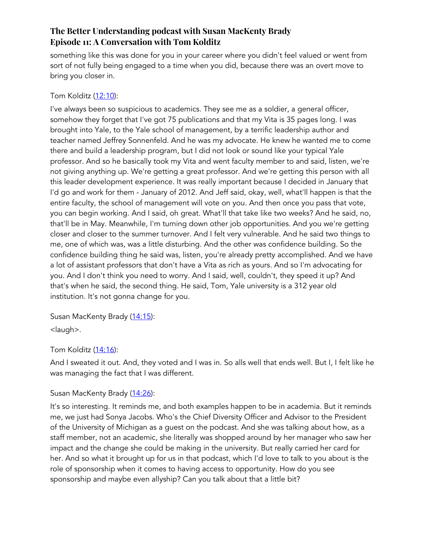something like this was done for you in your career where you didn't feel valued or went from sort of not fully being engaged to a time when you did, because there was an overt move to bring you closer in.

# Tom Kolditz (12:10):

I've always been so suspicious to academics. They see me as a soldier, a general officer, somehow they forget that I've got 75 publications and that my Vita is 35 pages long. I was brought into Yale, to the Yale school of management, by a terrific leadership author and teacher named Jeffrey Sonnenfeld. And he was my advocate. He knew he wanted me to come there and build a leadership program, but I did not look or sound like your typical Yale professor. And so he basically took my Vita and went faculty member to and said, listen, we're not giving anything up. We're getting a great professor. And we're getting this person with all this leader development experience. It was really important because I decided in January that I'd go and work for them - January of 2012. And Jeff said, okay, well, what'll happen is that the entire faculty, the school of management will vote on you. And then once you pass that vote, you can begin working. And I said, oh great. What'll that take like two weeks? And he said, no, that'll be in May. Meanwhile, I'm turning down other job opportunities. And you we're getting closer and closer to the summer turnover. And I felt very vulnerable. And he said two things to me, one of which was, was a little disturbing. And the other was confidence building. So the confidence building thing he said was, listen, you're already pretty accomplished. And we have a lot of assistant professors that don't have a Vita as rich as yours. And so I'm advocating for you. And I don't think you need to worry. And I said, well, couldn't, they speed it up? And that's when he said, the second thing. He said, Tom, Yale university is a 312 year old institution. It's not gonna change for you.

Susan MacKenty Brady (14:15):

<laugh>.

# Tom Kolditz (14:16):

And I sweated it out. And, they voted and I was in. So alls well that ends well. But I, I felt like he was managing the fact that I was different.

# Susan MacKenty Brady (14:26):

It's so interesting. It reminds me, and both examples happen to be in academia. But it reminds me, we just had Sonya Jacobs. Who's the Chief Diversity Officer and Advisor to the President of the University of Michigan as a guest on the podcast. And she was talking about how, as a staff member, not an academic, she literally was shopped around by her manager who saw her impact and the change she could be making in the university. But really carried her card for her. And so what it brought up for us in that podcast, which I'd love to talk to you about is the role of sponsorship when it comes to having access to opportunity. How do you see sponsorship and maybe even allyship? Can you talk about that a little bit?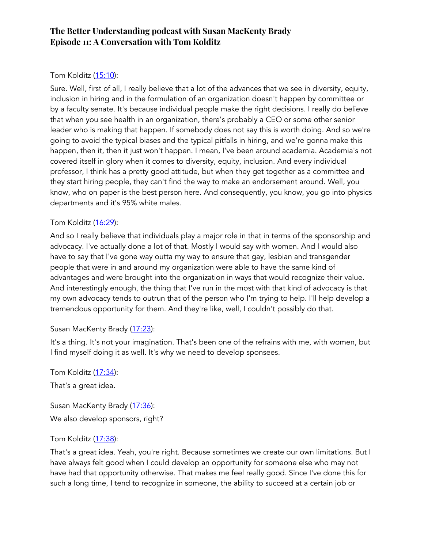# Tom Kolditz (15:10):

Sure. Well, first of all, I really believe that a lot of the advances that we see in diversity, equity, inclusion in hiring and in the formulation of an organization doesn't happen by committee or by a faculty senate. It's because individual people make the right decisions. I really do believe that when you see health in an organization, there's probably a CEO or some other senior leader who is making that happen. If somebody does not say this is worth doing. And so we're going to avoid the typical biases and the typical pitfalls in hiring, and we're gonna make this happen, then it, then it just won't happen. I mean, I've been around academia. Academia's not covered itself in glory when it comes to diversity, equity, inclusion. And every individual professor, I think has a pretty good attitude, but when they get together as a committee and they start hiring people, they can't find the way to make an endorsement around. Well, you know, who on paper is the best person here. And consequently, you know, you go into physics departments and it's 95% white males.

### Tom Kolditz (16:29):

And so I really believe that individuals play a major role in that in terms of the sponsorship and advocacy. I've actually done a lot of that. Mostly I would say with women. And I would also have to say that I've gone way outta my way to ensure that gay, lesbian and transgender people that were in and around my organization were able to have the same kind of advantages and were brought into the organization in ways that would recognize their value. And interestingly enough, the thing that I've run in the most with that kind of advocacy is that my own advocacy tends to outrun that of the person who I'm trying to help. I'll help develop a tremendous opportunity for them. And they're like, well, I couldn't possibly do that.

### Susan MacKenty Brady (17:23):

It's a thing. It's not your imagination. That's been one of the refrains with me, with women, but I find myself doing it as well. It's why we need to develop sponsees.

Tom Kolditz (17:34):

That's a great idea.

Susan MacKenty Brady (17:36): We also develop sponsors, right?

### Tom Kolditz (17:38):

That's a great idea. Yeah, you're right. Because sometimes we create our own limitations. But I have always felt good when I could develop an opportunity for someone else who may not have had that opportunity otherwise. That makes me feel really good. Since I've done this for such a long time, I tend to recognize in someone, the ability to succeed at a certain job or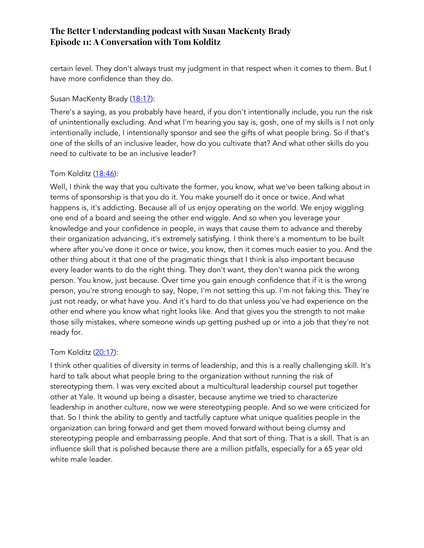certain level. They don't always trust my judgment in that respect when it comes to them. But I have more confidence than they do.

# Susan MacKenty Brady (18:17):

There's a saying, as you probably have heard, if you don't intentionally include, you run the risk of unintentionally excluding. And what I'm hearing you say is, gosh, one of my skills is I not only intentionally include, I intentionally sponsor and see the gifts of what people bring. So if that's one of the skills of an inclusive leader, how do you cultivate that? And what other skills do you need to cultivate to be an inclusive leader?

# Tom Kolditz  $(18:46)$ :

Well, I think the way that you cultivate the former, you know, what we've been talking about in terms of sponsorship is that you do it. You make yourself do it once or twice. And what happens is, it's addicting. Because all of us enjoy operating on the world. We enjoy wiggling one end of a board and seeing the other end wiggle. And so when you leverage your knowledge and your confidence in people, in ways that cause them to advance and thereby their organization advancing, it's extremely satisfying. I think there's a momentum to be built where after you've done it once or twice, you know, then it comes much easier to you. And the other thing about it that one of the pragmatic things that I think is also important because every leader wants to do the right thing. They don't want, they don't wanna pick the wrong person. You know, just because. Over time you gain enough confidence that if it is the wrong person, you're strong enough to say, Nope, I'm not setting this up. I'm not faking this. They're just not ready, or what have you. And it's hard to do that unless you've had experience on the other end where you know what right looks like. And that gives you the strength to not make those silly mistakes, where someone winds up getting pushed up or into a job that they're not ready for.

# Tom Kolditz (20:17):

I think other qualities of diversity in terms of leadership, and this is a really challenging skill. It's hard to talk about what people bring to the organization without running the risk of stereotyping them. I was very excited about a multicultural leadership coursel put together other at Yale. It wound up being a disaster, because anytime we tried to characterize leadership in another culture, now we were stereotyping people. And so we were criticized for that. So I think the ability to gently and tactfully capture what unique qualities people in the organization can bring forward and get them moved forward without being clumsy and stereotyping people and embarrassing people. And that sort of thing. That is a skill. That is an influence skill that is polished because there are a million pitfalls, especially for a 65 year old white male leader.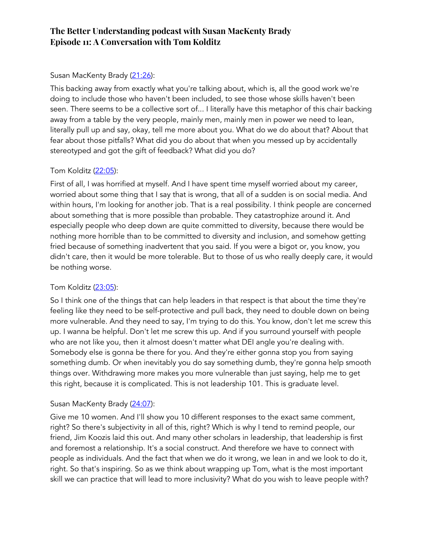# Susan MacKenty Brady (21:26):

This backing away from exactly what you're talking about, which is, all the good work we're doing to include those who haven't been included, to see those whose skills haven't been seen. There seems to be a collective sort of... I literally have this metaphor of this chair backing away from a table by the very people, mainly men, mainly men in power we need to lean, literally pull up and say, okay, tell me more about you. What do we do about that? About that fear about those pitfalls? What did you do about that when you messed up by accidentally stereotyped and got the gift of feedback? What did you do?

# Tom Kolditz (22:05):

First of all, I was horrified at myself. And I have spent time myself worried about my career, worried about some thing that I say that is wrong, that all of a sudden is on social media. And within hours, I'm looking for another job. That is a real possibility. I think people are concerned about something that is more possible than probable. They catastrophize around it. And especially people who deep down are quite committed to diversity, because there would be nothing more horrible than to be committed to diversity and inclusion, and somehow getting fried because of something inadvertent that you said. If you were a bigot or, you know, you didn't care, then it would be more tolerable. But to those of us who really deeply care, it would be nothing worse.

# Tom Kolditz (23:05):

So I think one of the things that can help leaders in that respect is that about the time they're feeling like they need to be self-protective and pull back, they need to double down on being more vulnerable. And they need to say, I'm trying to do this. You know, don't let me screw this up. I wanna be helpful. Don't let me screw this up. And if you surround yourself with people who are not like you, then it almost doesn't matter what DEI angle you're dealing with. Somebody else is gonna be there for you. And they're either gonna stop you from saying something dumb. Or when inevitably you do say something dumb, they're gonna help smooth things over. Withdrawing more makes you more vulnerable than just saying, help me to get this right, because it is complicated. This is not leadership 101. This is graduate level.

# Susan MacKenty Brady (24:07):

Give me 10 women. And I'll show you 10 different responses to the exact same comment, right? So there's subjectivity in all of this, right? Which is why I tend to remind people, our friend, Jim Koozis laid this out. And many other scholars in leadership, that leadership is first and foremost a relationship. It's a social construct. And therefore we have to connect with people as individuals. And the fact that when we do it wrong, we lean in and we look to do it, right. So that's inspiring. So as we think about wrapping up Tom, what is the most important skill we can practice that will lead to more inclusivity? What do you wish to leave people with?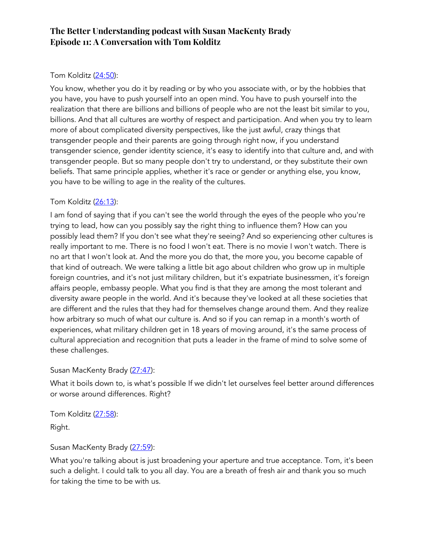# Tom Kolditz (24:50):

You know, whether you do it by reading or by who you associate with, or by the hobbies that you have, you have to push yourself into an open mind. You have to push yourself into the realization that there are billions and billions of people who are not the least bit similar to you, billions. And that all cultures are worthy of respect and participation. And when you try to learn more of about complicated diversity perspectives, like the just awful, crazy things that transgender people and their parents are going through right now, if you understand transgender science, gender identity science, it's easy to identify into that culture and, and with transgender people. But so many people don't try to understand, or they substitute their own beliefs. That same principle applies, whether it's race or gender or anything else, you know, you have to be willing to age in the reality of the cultures.

# Tom Kolditz (26:13):

I am fond of saying that if you can't see the world through the eyes of the people who you're trying to lead, how can you possibly say the right thing to influence them? How can you possibly lead them? If you don't see what they're seeing? And so experiencing other cultures is really important to me. There is no food I won't eat. There is no movie I won't watch. There is no art that I won't look at. And the more you do that, the more you, you become capable of that kind of outreach. We were talking a little bit ago about children who grow up in multiple foreign countries, and it's not just military children, but it's expatriate businessmen, it's foreign affairs people, embassy people. What you find is that they are among the most tolerant and diversity aware people in the world. And it's because they've looked at all these societies that are different and the rules that they had for themselves change around them. And they realize how arbitrary so much of what our culture is. And so if you can remap in a month's worth of experiences, what military children get in 18 years of moving around, it's the same process of cultural appreciation and recognition that puts a leader in the frame of mind to solve some of these challenges.

# Susan MacKenty Brady (27:47):

What it boils down to, is what's possible If we didn't let ourselves feel better around differences or worse around differences. Right?

Tom Kolditz (27:58): Right.

# Susan MacKenty Brady (27:59):

What you're talking about is just broadening your aperture and true acceptance. Tom, it's been such a delight. I could talk to you all day. You are a breath of fresh air and thank you so much for taking the time to be with us.